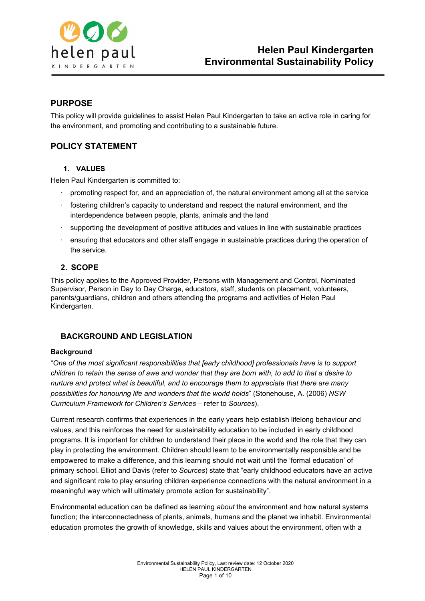

# **PURPOSE**

This policy will provide guidelines to assist Helen Paul Kindergarten to take an active role in caring for the environment, and promoting and contributing to a sustainable future.

# **POLICY STATEMENT**

#### **1. VALUES**

Helen Paul Kindergarten is committed to:

- · promoting respect for, and an appreciation of, the natural environment among all at the service
- · fostering children's capacity to understand and respect the natural environment, and the interdependence between people, plants, animals and the land
- · supporting the development of positive attitudes and values in line with sustainable practices
- · ensuring that educators and other staff engage in sustainable practices during the operation of the service.

## **2. SCOPE**

This policy applies to the Approved Provider, Persons with Management and Control, Nominated Supervisor, Person in Day to Day Charge, educators, staff, students on placement, volunteers, parents/guardians, children and others attending the programs and activities of Helen Paul Kindergarten.

## **BACKGROUND AND LEGISLATION**

#### **Background**

"*One of the most significant responsibilities that [early childhood] professionals have is to support* children to retain the sense of awe and wonder that they are born with, to add to that a desire to *nurture and protect what is beautiful, and to encourage them to appreciate that there are many possibilities for honouring life and wonders that the world holds*" (Stonehouse, A. (2006) *NSW Curriculum Framework for Children's Services* – refer to *Sources*).

Current research confirms that experiences in the early years help establish lifelong behaviour and values, and this reinforces the need for sustainability education to be included in early childhood programs. It is important for children to understand their place in the world and the role that they can play in protecting the environment. Children should learn to be environmentally responsible and be empowered to make a difference, and this learning should not wait until the 'formal education' of primary school. Elliot and Davis (refer to *Sources*) state that "early childhood educators have an active and significant role to play ensuring children experience connections with the natural environment in a meaningful way which will ultimately promote action for sustainability".

Environmental education can be defined as learning *about* the environment and how natural systems function; the interconnectedness of plants, animals, humans and the planet we inhabit. Environmental education promotes the growth of knowledge, skills and values about the environment, often with a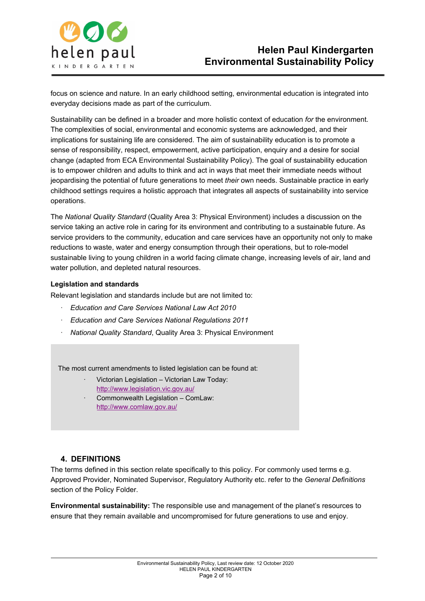

focus on science and nature. In an early childhood setting, environmental education is integrated into everyday decisions made as part of the curriculum.

Sustainability can be defined in a broader and more holistic context of education *for* the environment. The complexities of social, environmental and economic systems are acknowledged, and their implications for sustaining life are considered. The aim of sustainability education is to promote a sense of responsibility, respect, empowerment, active participation, enquiry and a desire for social change (adapted from ECA Environmental Sustainability Policy). The goal of sustainability education is to empower children and adults to think and act in ways that meet their immediate needs without jeopardising the potential of future generations to meet *their* own needs. Sustainable practice in early childhood settings requires a holistic approach that integrates all aspects of sustainability into service operations.

The *National Quality Standard* (Quality Area 3: Physical Environment) includes a discussion on the service taking an active role in caring for its environment and contributing to a sustainable future. As service providers to the community, education and care services have an opportunity not only to make reductions to waste, water and energy consumption through their operations, but to role-model sustainable living to young children in a world facing climate change, increasing levels of air, land and water pollution, and depleted natural resources.

#### **Legislation and standards**

Relevant legislation and standards include but are not limited to:

- · *Education and Care Services National Law Act 2010*
- · *Education and Care Services National Regulations 2011*
- · *National Quality Standard*, Quality Area 3: Physical Environment

The most current amendments to listed legislation can be found at:

- · Victorian Legislation Victorian Law Today: <http://www.legislation.vic.gov.au/>
- · Commonwealth Legislation ComLaw[:](http://www.comlaw.gov.au/) <http://www.comlaw.gov.au/>

#### **4. DEFINITIONS**

The terms defined in this section relate specifically to this policy. For commonly used terms e.g. Approved Provider, Nominated Supervisor, Regulatory Authority etc. refer to the *General Definitions* section of the Policy Folder.

**Environmental sustainability:** The responsible use and management of the planet's resources to ensure that they remain available and uncompromised for future generations to use and enjoy.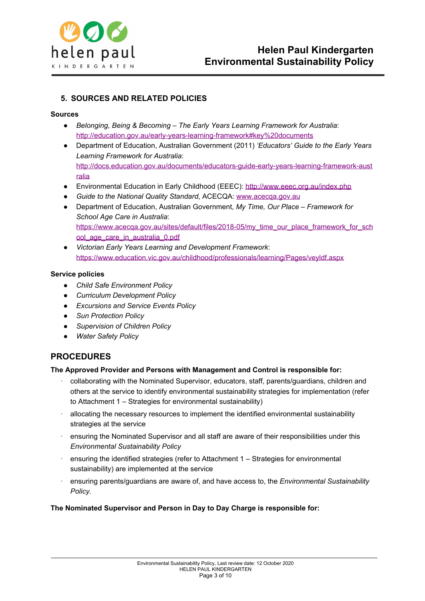

## **5. SOURCES AND RELATED POLICIES**

#### **Sources**

- *Belonging, Being & Becoming – The Early Years Learning Framework for Australia*: <http://education.gov.au/early-years-learning-framework#key%20documents>
- Department of Education, Australian Government (2011) *'Educators' Guide to the Early Years Learning Framework for Australia*[:](http://docs.education.gov.au/documents/educators-guide-early-years-learning-framework-australia) [http://docs.education.gov.au/documents/educators-guide-early-years-learning-framework-aust](http://docs.education.gov.au/documents/educators-guide-early-years-learning-framework-australia) [ralia](http://docs.education.gov.au/documents/educators-guide-early-years-learning-framework-australia)
- Environmental Education in Early Childhood (EEEC): <http://www.eeec.org.au/index.php>
- *Guide to the National Quality Standard*, ACECQA: [www.acecqa.gov.au](http://www.acecqa.gov.au/)
- Department of Education, Australian Government, *My Time, Our Place – Framework for School Age Care in Australia*: [https://www.acecqa.gov.au/sites/default/files/2018-05/my\\_time\\_our\\_place\\_framework\\_for\\_sch](https://www.acecqa.gov.au/sites/default/files/2018-05/my_time_our_place_framework_for_school_age_care_in_australia_0.pdf) [ool\\_age\\_care\\_in\\_australia\\_0.pdf](https://www.acecqa.gov.au/sites/default/files/2018-05/my_time_our_place_framework_for_school_age_care_in_australia_0.pdf)
- *Victorian Early Years Learning and Development Framework*: <https://www.education.vic.gov.au/childhood/professionals/learning/Pages/veyldf.aspx>

#### **Service policies**

- *● Child Safe Environment Policy*
- *● Curriculum Development Policy*
- *● Excursions and Service Events Policy*
- *● Sun Protection Policy*
- *● Supervision of Children Policy*
- *● Water Safety Policy*

## **PROCEDURES**

#### **The Approved Provider and Persons with Management and Control is responsible for:**

- · collaborating with the Nominated Supervisor, educators, staff, parents/guardians, children and others at the service to identify environmental sustainability strategies for implementation (refer to Attachment 1 – Strategies for environmental sustainability)
- · allocating the necessary resources to implement the identified environmental sustainability strategies at the service
- · ensuring the Nominated Supervisor and all staff are aware of their responsibilities under this *Environmental Sustainability Policy*
- ensuring the identified strategies (refer to Attachment 1 Strategies for environmental sustainability) are implemented at the service
- · ensuring parents/guardians are aware of, and have access to, the *Environmental Sustainability Policy.*

#### **The Nominated Supervisor and Person in Day to Day Charge is responsible for:**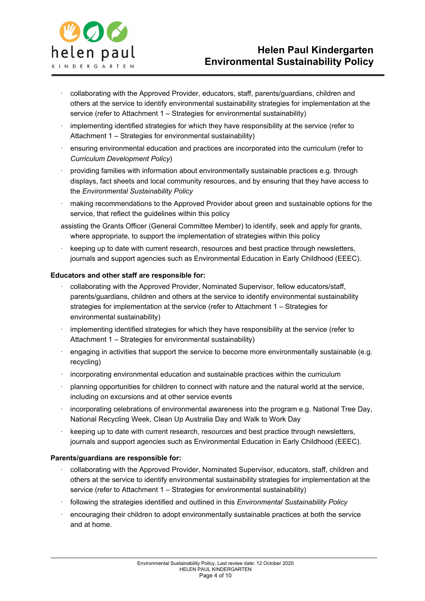

- · collaborating with the Approved Provider, educators, staff, parents/guardians, children and others at the service to identify environmental sustainability strategies for implementation at the service (refer to Attachment 1 – Strategies for environmental sustainability)
- implementing identified strategies for which they have responsibility at the service (refer to Attachment 1 – Strategies for environmental sustainability)
- · ensuring environmental education and practices are incorporated into the curriculum (refer to *Curriculum Development Policy*)
- · providing families with information about environmentally sustainable practices e.g. through displays, fact sheets and local community resources, and by ensuring that they have access to the *Environmental Sustainability Policy*
- · making recommendations to the Approved Provider about green and sustainable options for the service, that reflect the guidelines within this policy
- assisting the Grants Officer (General Committee Member) to identify, seek and apply for grants, where appropriate, to support the implementation of strategies within this policy
- · keeping up to date with current research, resources and best practice through newsletters, journals and support agencies such as Environmental Education in Early Childhood (EEEC).

#### **Educators and other staff are responsible for:**

- · collaborating with the Approved Provider, Nominated Supervisor, fellow educators/staff, parents/guardians, children and others at the service to identify environmental sustainability strategies for implementation at the service (refer to Attachment 1 – Strategies for environmental sustainability)
- implementing identified strategies for which they have responsibility at the service (refer to Attachment 1 – Strategies for environmental sustainability)
- engaging in activities that support the service to become more environmentally sustainable (e.g. recycling)
- · incorporating environmental education and sustainable practices within the curriculum
- · planning opportunities for children to connect with nature and the natural world at the service, including on excursions and at other service events
- · incorporating celebrations of environmental awareness into the program e.g. National Tree Day, National Recycling Week, Clean Up Australia Day and Walk to Work Day
- · keeping up to date with current research, resources and best practice through newsletters, journals and support agencies such as Environmental Education in Early Childhood (EEEC).

#### **Parents/guardians are responsible for:**

- · collaborating with the Approved Provider, Nominated Supervisor, educators, staff, children and others at the service to identify environmental sustainability strategies for implementation at the service (refer to Attachment 1 – Strategies for environmental sustainability)
- · following the strategies identified and outlined in this *Environmental Sustainability Policy*
- · encouraging their children to adopt environmentally sustainable practices at both the service and at home.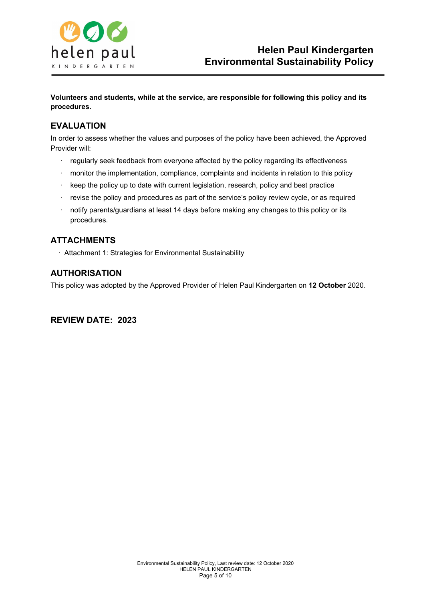

**Volunteers and students, while at the service, are responsible for following this policy and its procedures.**

# **EVALUATION**

In order to assess whether the values and purposes of the policy have been achieved, the Approved Provider will:

- · regularly seek feedback from everyone affected by the policy regarding its effectiveness
- · monitor the implementation, compliance, complaints and incidents in relation to this policy
- · keep the policy up to date with current legislation, research, policy and best practice
- · revise the policy and procedures as part of the service's policy review cycle, or as required
- · notify parents/guardians at least 14 days before making any changes to this policy or its procedures.

## **ATTACHMENTS**

· Attachment 1: Strategies for Environmental Sustainability

## **AUTHORISATION**

This policy was adopted by the Approved Provider of Helen Paul Kindergarten on **12 October** 2020.

## **REVIEW DATE: 2023**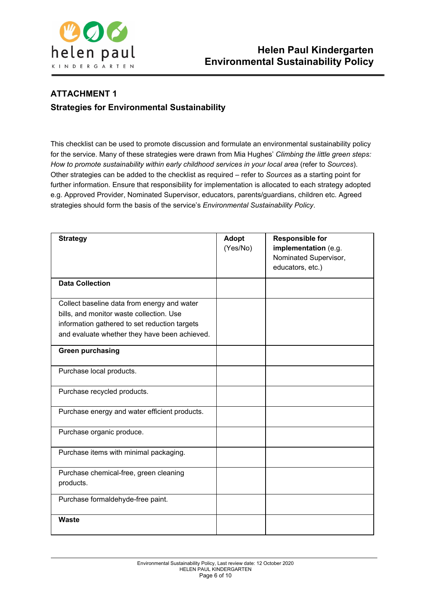

# **ATTACHMENT 1 Strategies for Environmental Sustainability**

This checklist can be used to promote discussion and formulate an environmental sustainability policy for the service. Many of these strategies were drawn from Mia Hughes' *Climbing the little green steps: How to promote sustainability within early childhood services in your local area* (refer to *Sources*). Other strategies can be added to the checklist as required – refer to *Sources* as a starting point for further information. Ensure that responsibility for implementation is allocated to each strategy adopted e.g. Approved Provider, Nominated Supervisor, educators, parents/guardians, children etc. Agreed strategies should form the basis of the service's *Environmental Sustainability Policy*.

| <b>Strategy</b>                                                                                                                                                                           | <b>Adopt</b><br>(Yes/No) | <b>Responsible for</b><br>implementation (e.g.<br>Nominated Supervisor,<br>educators, etc.) |
|-------------------------------------------------------------------------------------------------------------------------------------------------------------------------------------------|--------------------------|---------------------------------------------------------------------------------------------|
| <b>Data Collection</b>                                                                                                                                                                    |                          |                                                                                             |
| Collect baseline data from energy and water<br>bills, and monitor waste collection. Use<br>information gathered to set reduction targets<br>and evaluate whether they have been achieved. |                          |                                                                                             |
| <b>Green purchasing</b>                                                                                                                                                                   |                          |                                                                                             |
| Purchase local products.                                                                                                                                                                  |                          |                                                                                             |
| Purchase recycled products.                                                                                                                                                               |                          |                                                                                             |
| Purchase energy and water efficient products.                                                                                                                                             |                          |                                                                                             |
| Purchase organic produce.                                                                                                                                                                 |                          |                                                                                             |
| Purchase items with minimal packaging.                                                                                                                                                    |                          |                                                                                             |
| Purchase chemical-free, green cleaning<br>products.                                                                                                                                       |                          |                                                                                             |
| Purchase formaldehyde-free paint.                                                                                                                                                         |                          |                                                                                             |
| <b>Waste</b>                                                                                                                                                                              |                          |                                                                                             |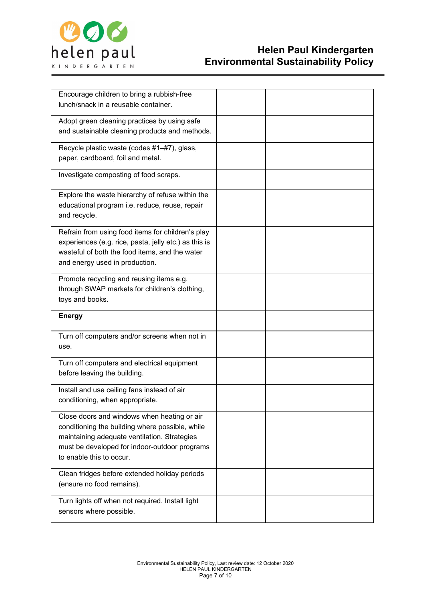

| Encourage children to bring a rubbish-free                                                              |  |
|---------------------------------------------------------------------------------------------------------|--|
| lunch/snack in a reusable container.                                                                    |  |
| Adopt green cleaning practices by using safe                                                            |  |
| and sustainable cleaning products and methods.                                                          |  |
| Recycle plastic waste (codes #1-#7), glass,                                                             |  |
| paper, cardboard, foil and metal.                                                                       |  |
| Investigate composting of food scraps.                                                                  |  |
| Explore the waste hierarchy of refuse within the                                                        |  |
| educational program i.e. reduce, reuse, repair<br>and recycle.                                          |  |
| Refrain from using food items for children's play                                                       |  |
| experiences (e.g. rice, pasta, jelly etc.) as this is<br>wasteful of both the food items, and the water |  |
| and energy used in production.                                                                          |  |
| Promote recycling and reusing items e.g.                                                                |  |
| through SWAP markets for children's clothing,<br>toys and books.                                        |  |
|                                                                                                         |  |
|                                                                                                         |  |
| <b>Energy</b>                                                                                           |  |
| Turn off computers and/or screens when not in                                                           |  |
| use.                                                                                                    |  |
| Turn off computers and electrical equipment                                                             |  |
| before leaving the building.                                                                            |  |
| Install and use ceiling fans instead of air                                                             |  |
| conditioning, when appropriate.                                                                         |  |
| Close doors and windows when heating or air                                                             |  |
| conditioning the building where possible, while                                                         |  |
| maintaining adequate ventilation. Strategies                                                            |  |
| must be developed for indoor-outdoor programs<br>to enable this to occur.                               |  |
| Clean fridges before extended holiday periods                                                           |  |
| (ensure no food remains).                                                                               |  |
| Turn lights off when not required. Install light                                                        |  |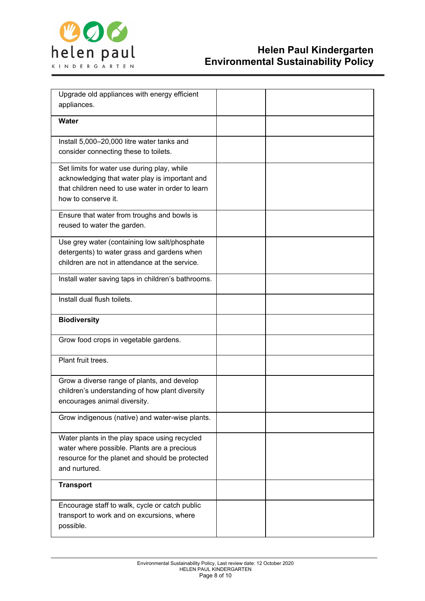

| Upgrade old appliances with energy efficient       |  |
|----------------------------------------------------|--|
| appliances.                                        |  |
| <b>Water</b>                                       |  |
|                                                    |  |
| Install 5,000-20,000 litre water tanks and         |  |
| consider connecting these to toilets.              |  |
| Set limits for water use during play, while        |  |
| acknowledging that water play is important and     |  |
| that children need to use water in order to learn  |  |
| how to conserve it.                                |  |
| Ensure that water from troughs and bowls is        |  |
| reused to water the garden.                        |  |
| Use grey water (containing low salt/phosphate      |  |
| detergents) to water grass and gardens when        |  |
| children are not in attendance at the service.     |  |
| Install water saving taps in children's bathrooms. |  |
| Install dual flush toilets.                        |  |
|                                                    |  |
| <b>Biodiversity</b>                                |  |
| Grow food crops in vegetable gardens.              |  |
| Plant fruit trees.                                 |  |
| Grow a diverse range of plants, and develop        |  |
| children's understanding of how plant diversity    |  |
| encourages animal diversity.                       |  |
| Grow indigenous (native) and water-wise plants.    |  |
| Water plants in the play space using recycled      |  |
| water where possible. Plants are a precious        |  |
| resource for the planet and should be protected    |  |
| and nurtured.                                      |  |
| <b>Transport</b>                                   |  |
| Encourage staff to walk, cycle or catch public     |  |
| transport to work and on excursions, where         |  |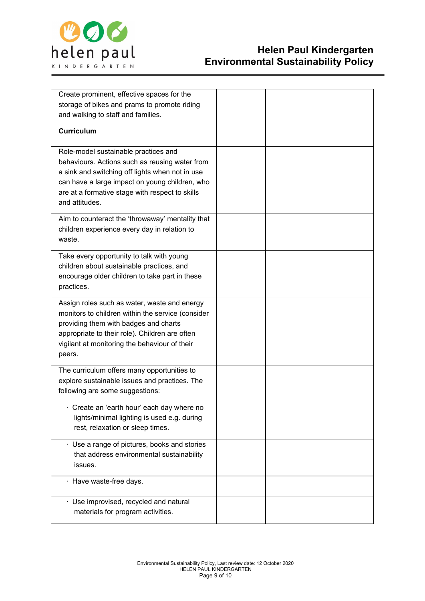

# **Helen Paul Kindergarten Environmental Sustainability Policy**

| Create prominent, effective spaces for the        |  |
|---------------------------------------------------|--|
|                                                   |  |
| storage of bikes and prams to promote riding      |  |
| and walking to staff and families.                |  |
| <b>Curriculum</b>                                 |  |
|                                                   |  |
| Role-model sustainable practices and              |  |
| behaviours. Actions such as reusing water from    |  |
| a sink and switching off lights when not in use   |  |
| can have a large impact on young children, who    |  |
| are at a formative stage with respect to skills   |  |
| and attitudes.                                    |  |
|                                                   |  |
| Aim to counteract the 'throwaway' mentality that  |  |
| children experience every day in relation to      |  |
| waste.                                            |  |
| Take every opportunity to talk with young         |  |
| children about sustainable practices, and         |  |
| encourage older children to take part in these    |  |
| practices.                                        |  |
|                                                   |  |
| Assign roles such as water, waste and energy      |  |
| monitors to children within the service (consider |  |
| providing them with badges and charts             |  |
| appropriate to their role). Children are often    |  |
| vigilant at monitoring the behaviour of their     |  |
| peers.                                            |  |
| The curriculum offers many opportunities to       |  |
| explore sustainable issues and practices. The     |  |
| following are some suggestions:                   |  |
|                                                   |  |
| Create an 'earth hour' each day where no          |  |
| lights/minimal lighting is used e.g. during       |  |
| rest, relaxation or sleep times.                  |  |
| · Use a range of pictures, books and stories      |  |
| that address environmental sustainability         |  |
| issues.                                           |  |
| Have waste-free days.                             |  |
|                                                   |  |
| · Use improvised, recycled and natural            |  |
| materials for program activities.                 |  |
|                                                   |  |